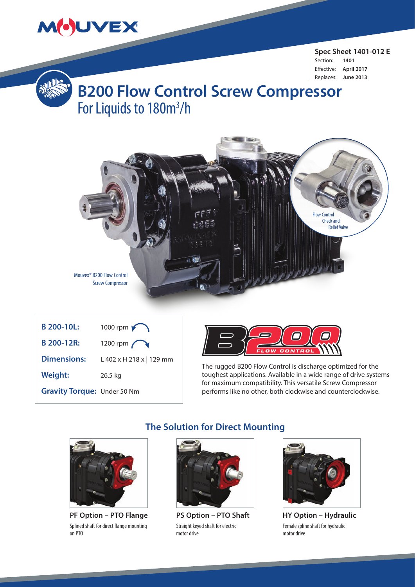

**Spec Sheet 1401-012 E**  Section: **1401** Effective: **April 2017** Replaces: **June 2013**



# **B200 Flow Control Screw Compressor** For Liquids to 180m<sup>3</sup>/h



| <b>B</b> 200-10L:           | 1000 rpm                 |
|-----------------------------|--------------------------|
| B 200-12R:                  | 1200 rpm $\bigcap$       |
| <b>Dimensions:</b>          | L 402 x H 218 x   129 mm |
| <b>Weight:</b>              | 26.5 kg                  |
| Gravity Torque: Under 50 Nm |                          |



The rugged B200 Flow Control is discharge optimized for the toughest applications. Available in a wide range of drive systems for maximum compatibility. This versatile Screw Compressor performs like no other, both clockwise and counterclockwise.



**PF Option – PTO Flange** Splined shaft for direct flange mounting on PTO

### **The Solution for Direct Mounting**



**PS Option – PTO Shaft** Straight keyed shaft for electric motor drive



**HY Option – Hydraulic** Female spline shaft for hydraulic motor drive